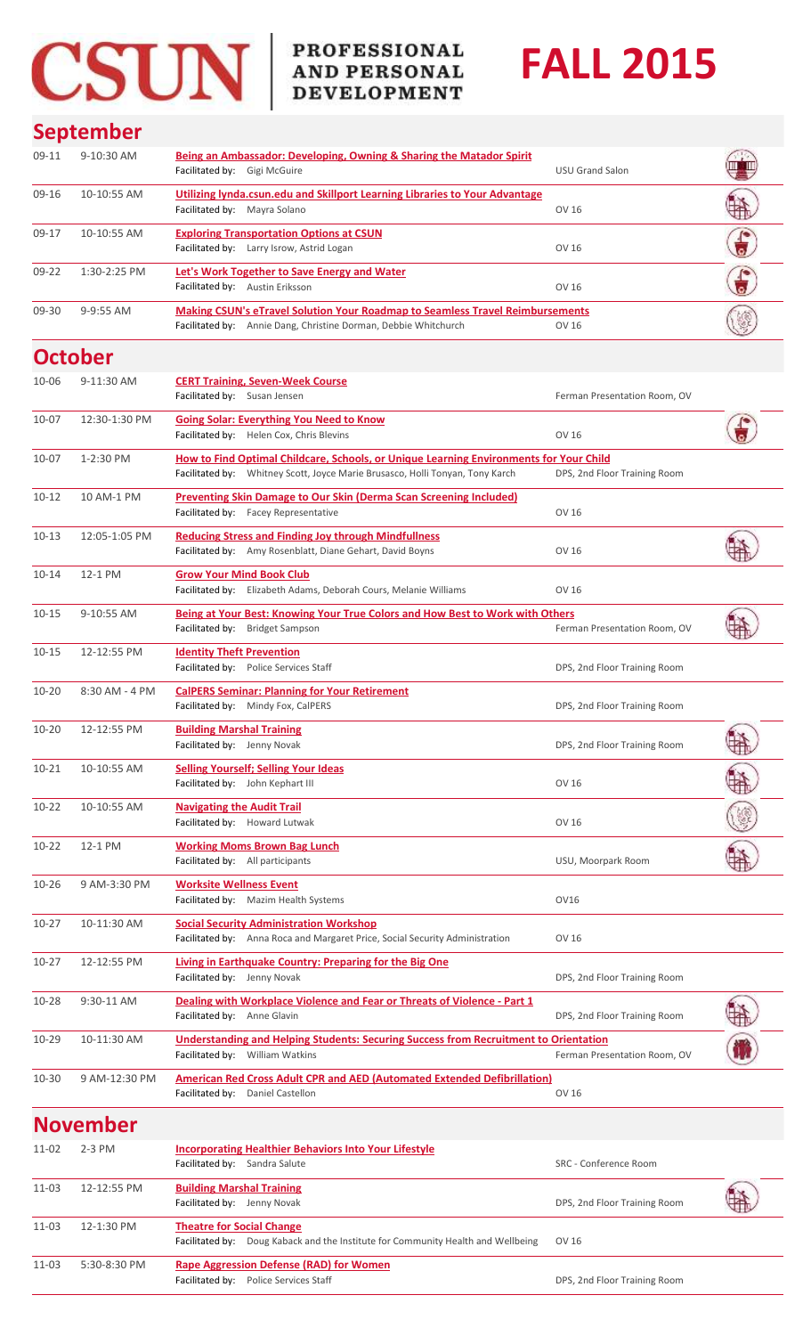## CSUN PROFESSIONAL AND PERSONAL

11-03 5:30-8:30 PM **[Rape Aggression Defense \(RAD\) for Women](http://www.csun.edu/development/training/events/rape-aggression-defense-rad-women)**

## **FALL 2015**

## **September**

| 09-11     | 9-10:30 AM      | <b>Being an Ambassador: Developing, Owning &amp; Sharing the Matador Spirit</b><br>Facilitated by: Gigi McGuire                                                         | <b>USU Grand Salon</b>       |            |
|-----------|-----------------|-------------------------------------------------------------------------------------------------------------------------------------------------------------------------|------------------------------|------------|
| 09-16     | 10-10:55 AM     | Utilizing lynda.csun.edu and Skillport Learning Libraries to Your Advantage<br>Facilitated by: Mayra Solano                                                             | OV 16                        |            |
| 09-17     | 10-10:55 AM     | <b>Exploring Transportation Options at CSUN</b><br>Facilitated by: Larry Isrow, Astrid Logan                                                                            | OV 16                        |            |
| $09 - 22$ | 1:30-2:25 PM    | <b>Let's Work Together to Save Energy and Water</b><br>Facilitated by: Austin Eriksson                                                                                  | OV 16                        |            |
| 09-30     | 9-9:55 AM       | Making CSUN's eTravel Solution Your Roadmap to Seamless Travel Reimbursements<br>Facilitated by: Annie Dang, Christine Dorman, Debbie Whitchurch                        | OV 16                        |            |
|           | <b>October</b>  |                                                                                                                                                                         |                              |            |
| 10-06     | 9-11:30 AM      | <b>CERT Training, Seven-Week Course</b><br>Facilitated by: Susan Jensen                                                                                                 | Ferman Presentation Room, OV |            |
| $10 - 07$ | 12:30-1:30 PM   | <b>Going Solar: Everything You Need to Know</b><br>Facilitated by: Helen Cox, Chris Blevins                                                                             | OV 16                        |            |
| $10 - 07$ | 1-2:30 PM       | How to Find Optimal Childcare, Schools, or Unique Learning Environments for Your Child<br>Facilitated by: Whitney Scott, Joyce Marie Brusasco, Holli Tonyan, Tony Karch | DPS, 2nd Floor Training Room |            |
| $10 - 12$ | 10 AM-1 PM      | <b>Preventing Skin Damage to Our Skin (Derma Scan Screening Included)</b><br>Facilitated by: Facey Representative                                                       | OV 16                        |            |
| $10 - 13$ | 12:05-1:05 PM   | <b>Reducing Stress and Finding Joy through Mindfullness</b><br>Facilitated by: Amy Rosenblatt, Diane Gehart, David Boyns                                                | OV 16                        |            |
| $10 - 14$ | 12-1 PM         | <b>Grow Your Mind Book Club</b><br>Facilitated by: Elizabeth Adams, Deborah Cours, Melanie Williams                                                                     | OV 16                        |            |
| $10 - 15$ | 9-10:55 AM      | Being at Your Best: Knowing Your True Colors and How Best to Work with Others<br>Facilitated by: Bridget Sampson                                                        | Ferman Presentation Room, OV |            |
| $10 - 15$ | 12-12:55 PM     | <b>Identity Theft Prevention</b><br>Facilitated by: Police Services Staff                                                                                               | DPS, 2nd Floor Training Room |            |
| $10 - 20$ | 8:30 AM - 4 PM  | <b>CalPERS Seminar: Planning for Your Retirement</b><br>Facilitated by: Mindy Fox, CalPERS                                                                              | DPS, 2nd Floor Training Room |            |
| $10 - 20$ | 12-12:55 PM     | <b>Building Marshal Training</b><br>Facilitated by: Jenny Novak                                                                                                         | DPS, 2nd Floor Training Room | ni se<br>Ŧ |
| $10 - 21$ | 10-10:55 AM     | <b>Selling Yourself; Selling Your Ideas</b><br>Facilitated by: John Kephart III                                                                                         | OV 16                        |            |
| $10 - 22$ | 10-10:55 AM     | <b>Navigating the Audit Trail</b><br>Facilitated by: Howard Lutwak                                                                                                      | OV 16                        |            |
| $10 - 22$ | 12-1 PM         | <b>Working Moms Brown Bag Lunch</b><br>Facilitated by: All participants                                                                                                 | USU, Moorpark Room           |            |
| $10 - 26$ | 9 AM-3:30 PM    | <b>Worksite Wellness Event</b><br>Facilitated by: Mazim Health Systems                                                                                                  | OV16                         |            |
| $10 - 27$ | 10-11:30 AM     | <b>Social Security Administration Workshop</b><br>Facilitated by: Anna Roca and Margaret Price, Social Security Administration                                          | OV 16                        |            |
| $10 - 27$ | 12-12:55 PM     | Living in Earthquake Country: Preparing for the Big One<br>Facilitated by: Jenny Novak                                                                                  | DPS, 2nd Floor Training Room |            |
| 10-28     | 9:30-11 AM      | Dealing with Workplace Violence and Fear or Threats of Violence - Part 1<br>Facilitated by: Anne Glavin                                                                 | DPS, 2nd Floor Training Room |            |
| $10 - 29$ | 10-11:30 AM     | <b>Understanding and Helping Students: Securing Success from Recruitment to Orientation</b><br>Facilitated by: William Watkins                                          | Ferman Presentation Room, OV |            |
| $10 - 30$ | 9 AM-12:30 PM   | <b>American Red Cross Adult CPR and AED (Automated Extended Defibrillation)</b><br>Facilitated by: Daniel Castellon                                                     | OV 16                        |            |
|           | <b>November</b> |                                                                                                                                                                         |                              |            |
| $11 - 02$ | $2-3$ PM        | <b>Incorporating Healthier Behaviors Into Your Lifestyle</b><br>Facilitated by: Sandra Salute                                                                           | SRC - Conference Room        |            |
| 11-03     | 12-12:55 PM     | <b>Building Marshal Training</b><br>Facilitated by: Jenny Novak                                                                                                         | DPS, 2nd Floor Training Room |            |
| 11-03     | 12-1:30 PM      | <b>Theatre for Social Change</b><br>Facilitated by: Doug Kaback and the Institute for Community Health and Wellbeing                                                    | OV 16                        |            |

Facilitated by: Police Services Staff **DPS** and Training Room Control of Training Room Control of Training Room